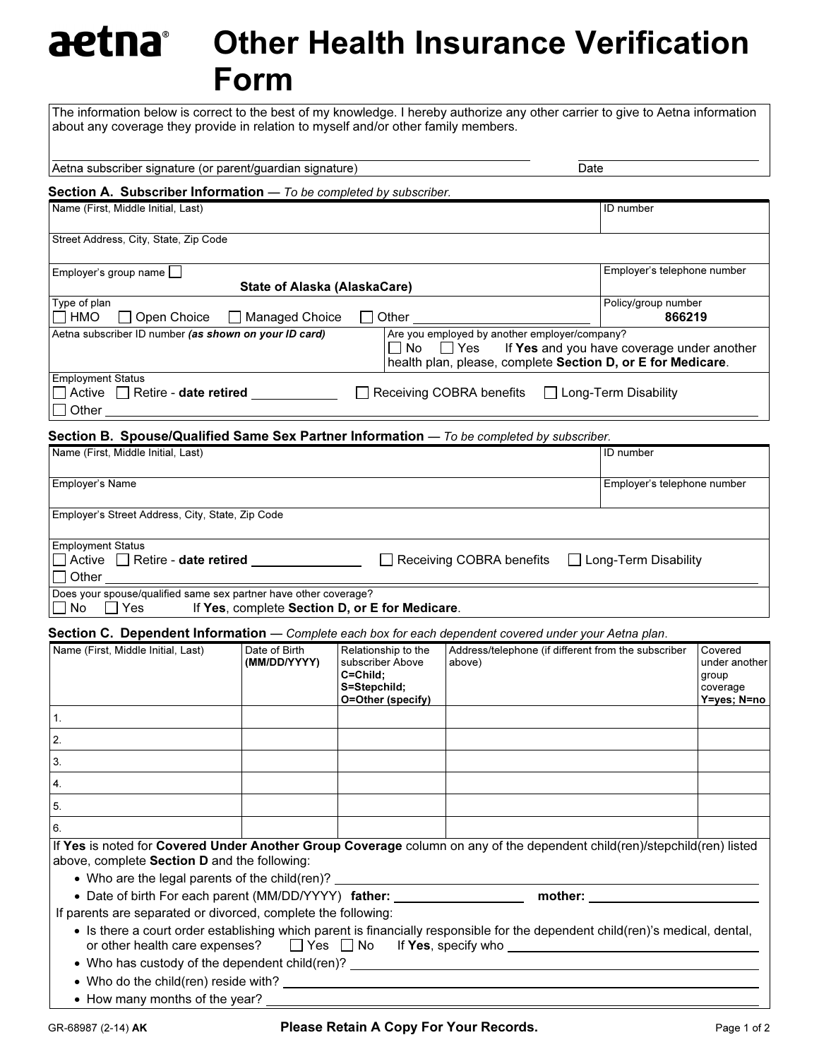## aetna Other Health Insurance Verification Form

The information below is correct to the best of my knowledge. I hereby authorize any other carrier to give to Aetna information about any coverage they provide in relation to myself and/or other family members.

| Aetna subscriber signature (or parent/guardian signature)                                                                    |                                                |                                                                                          | Date                                                                                                                                                                            |                               |                                                              |
|------------------------------------------------------------------------------------------------------------------------------|------------------------------------------------|------------------------------------------------------------------------------------------|---------------------------------------------------------------------------------------------------------------------------------------------------------------------------------|-------------------------------|--------------------------------------------------------------|
| <b>Section A. Subscriber Information</b> $-$ To be completed by subscriber.                                                  |                                                |                                                                                          |                                                                                                                                                                                 |                               |                                                              |
| Name (First, Middle Initial, Last)                                                                                           |                                                |                                                                                          |                                                                                                                                                                                 | ID number                     |                                                              |
| Street Address, City, State, Zip Code                                                                                        |                                                |                                                                                          |                                                                                                                                                                                 |                               |                                                              |
| Employer's group name                                                                                                        | <b>State of Alaska (AlaskaCare)</b>            |                                                                                          |                                                                                                                                                                                 | Employer's telephone number   |                                                              |
| Type of plan<br>I HMO<br>Open Choice                                                                                         | □ Managed Choice                               | Other                                                                                    |                                                                                                                                                                                 | Policy/group number<br>866219 |                                                              |
| Aetna subscriber ID number (as shown on your ID card)                                                                        |                                                |                                                                                          | Are you employed by another employer/company?<br>$\Box$ No $\Box$ Yes If Yes and you have coverage under another<br>health plan, please, complete Section D, or E for Medicare. |                               |                                                              |
| <b>Employment Status</b><br>$\Box$ Active $\Box$ Retire - <b>date retired</b> $\Box$<br>Other $\_\_$                         |                                                |                                                                                          | Receiving COBRA benefits                                                                                                                                                        | □ Long-Term Disability        |                                                              |
| Section B. Spouse/Qualified Same Sex Partner Information - To be completed by subscriber.                                    |                                                |                                                                                          |                                                                                                                                                                                 |                               |                                                              |
| Name (First, Middle Initial, Last)                                                                                           |                                                |                                                                                          |                                                                                                                                                                                 | ID number                     |                                                              |
| Employer's Name                                                                                                              |                                                |                                                                                          |                                                                                                                                                                                 | Employer's telephone number   |                                                              |
| Employer's Street Address, City, State, Zip Code                                                                             |                                                |                                                                                          |                                                                                                                                                                                 |                               |                                                              |
| <b>Employment Status</b><br>$\Box$ Active $\Box$ Retire - <b>date retired</b> $\Box$<br>□ Other ____________________________ |                                                |                                                                                          | $\Box$ Receiving COBRA benefits                                                                                                                                                 | $\Box$ Long-Term Disability   |                                                              |
| Does your spouse/qualified same sex partner have other coverage?<br>∣No ∏Yes                                                 | If Yes, complete Section D, or E for Medicare. |                                                                                          |                                                                                                                                                                                 |                               |                                                              |
| Section C. Dependent Information - Complete each box for each dependent covered under your Aetna plan.                       |                                                |                                                                                          |                                                                                                                                                                                 |                               |                                                              |
| Name (First, Middle Initial, Last)                                                                                           | Date of Birth<br>(MM/DD/YYYY)                  | Relationship to the<br>subscriber Above<br>C=Child;<br>S=Stepchild;<br>O=Other (specify) | Address/telephone (if different from the subscriber<br>above)                                                                                                                   |                               | Covered<br>under another<br>group<br>coverage<br>Y=yes; N=no |

| If Yes is noted for Covered Under Another Group Coverage column on any of the dependent child(ren)/stepchild(ren) listed |
|--------------------------------------------------------------------------------------------------------------------------|
| above, complete Section D and the following:                                                                             |
| • Who are the legal parents of the child(ren)?                                                                           |

• Date of birth For each parent (MM/DD/YYYY) father: \_\_\_\_\_\_\_\_\_\_\_\_\_\_\_\_\_\_\_ mother: \_\_\_\_\_\_\_\_\_\_\_\_

If parents are separated or divorced, complete the following:

|                                                                         |  | • Is there a court order establishing which parent is financially responsible for the dependent child(ren)'s medical, dental, |
|-------------------------------------------------------------------------|--|-------------------------------------------------------------------------------------------------------------------------------|
| or other health care expenses? $\Box$ Yes $\Box$ No If Yes, specify who |  |                                                                                                                               |

• Who has custody of the dependent child(ren)?

- Who do the child(ren) reside with?
- How many months of the year?

1. 2. 3. 4. 5. 6.